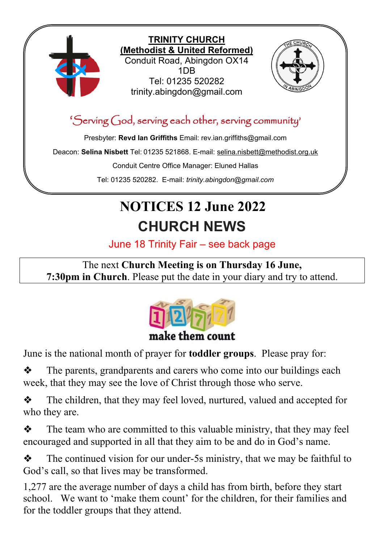

# **NOTICES 12 June 2022 CHURCH NEWS**

June 18 Trinity Fair – see back page

The next **Church Meeting is on Thursday 16 June, 7:30pm in Church**. Please put the date in your diary and try to attend.



June is the national month of prayer for **toddler groups**. Please pray for:

❖ The parents, grandparents and carers who come into our buildings each week, that they may see the love of Christ through those who serve.

❖ The children, that they may feel loved, nurtured, valued and accepted for who they are.

❖ The team who are committed to this valuable ministry, that they may feel encouraged and supported in all that they aim to be and do in God's name.

❖ The continued vision for our under-5s ministry, that we may be faithful to God's call, so that lives may be transformed.

1,277 are the average number of days a child has from birth, before they start school. We want to 'make them count' for the children, for their families and for the toddler groups that they attend.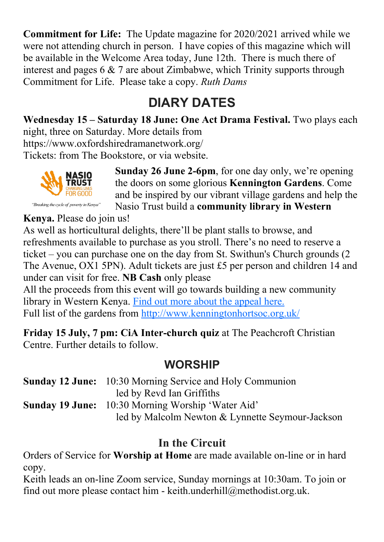**Commitment for Life:** The Update magazine for 2020/2021 arrived while we were not attending church in person. I have copies of this magazine which will be available in the Welcome Area today, June 12th. There is much there of interest and pages 6 & 7 are about Zimbabwe, which Trinity supports through Commitment for Life. Please take a copy. *Ruth Dams*

## **DIARY DATES**

**Wednesday 15 – Saturday 18 June: One Act Drama Festival.** Two plays each night, three on Saturday. More details from https://www.oxfordshiredramanetwork.org/

Tickets: from The Bookstore, or via website.



**Sunday 26 June 2-6pm**, for one day only, we're opening the doors on some glorious **Kennington Gardens**. Come and be inspired by our vibrant village gardens and help the Nasio Trust build a **community library in Western** 

"Breaking the cycle of poverty in Kenya"

**Kenya.** Please do join us!

As well as horticultural delights, there'll be plant stalls to browse, and refreshments available to purchase as you stroll. There's no need to reserve a ticket – you can purchase one on the day from St. Swithun's Church grounds (2 The Avenue, OX1 5PN). Adult tickets are just £5 per person and children 14 and under can visit for free. **NB Cash** only please

All the proceeds from this event will go towards building a new community library in Western Kenya. [Find out more about the appeal here.](https://www.thenasiotrust.org/appeals/help-us-to-build-the-first-nasio-library/)  Full list of the gardens from<http://www.kenningtonhortsoc.org.uk/>

**Friday 15 July, 7 pm: CiA Inter-church quiz** at The Peachcroft Christian Centre. Further details to follow.

### **WORSHIP**

| <b>Sunday 12 June:</b> 10:30 Morning Service and Holy Communion |
|-----------------------------------------------------------------|
| led by Revd Ian Griffiths                                       |
| <b>Sunday 19 June:</b> 10:30 Morning Worship 'Water Aid'        |
| led by Malcolm Newton & Lynnette Seymour-Jackson                |

### **In the Circuit**

Orders of Service for **Worship at Home** are made available on-line or in hard copy.

Keith leads an on-line Zoom service, Sunday mornings at 10:30am. To join or find out more please contact him - keith.underhill@methodist.org.uk.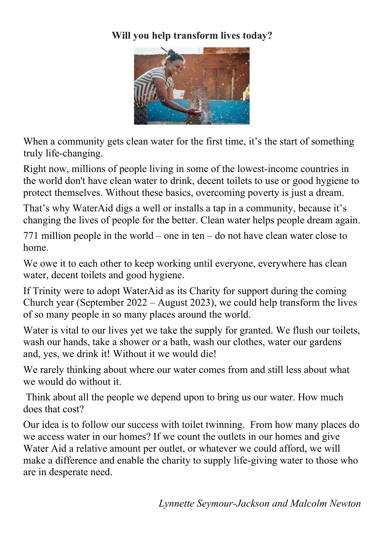#### **Will you help transform lives today?**



When a community gets clean water for the first time, it's the start of something truly life-changing.

Right now, millions of people living in some of the lowest-income countries in the world don't have clean water to drink, decent toilets to use or good hygiene to protect themselves. Without these basics, overcoming poverty is just a dream.

That's why WaterAid digs a well or installs a tap in a community, because it's changing the lives of people for the better. Clean water helps people dream again.

771 million people in the world – one in ten – do not have clean water close to home.

We owe it to each other to keep working until everyone, everywhere has clean water, decent toilets and good hygiene.

If Trinity were to adopt WaterAid as its Charity for support during the coming Church year (September 2022 – August 2023), we could help transform the lives of so many people in so many places around the world.

Water is vital to our lives yet we take the supply for granted. We flush our toilets, wash our hands, take a shower or a bath, wash our clothes, water our gardens and, yes, we drink it! Without it we would die!

We rarely thinking about where our water comes from and still less about what we would do without it.

Think about all the people we depend upon to bring us our water. How much does that cost?

Our idea is to follow our success with toilet twinning. From how many places do we access water in our homes? If we count the outlets in our homes and give Water Aid a relative amount per outlet, or whatever we could afford, we will make a difference and enable the charity to supply life-giving water to those who are in desperate need.